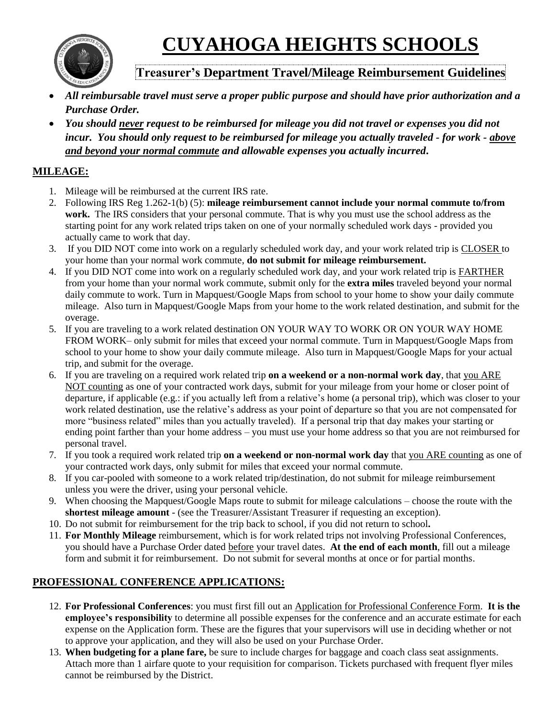**CUYAHOGA HEIGHTS SCHOOLS**



# **Treasurer's Department Travel/Mileage Reimbursement Guidelines**

- *All reimbursable travel must serve a proper public purpose and should have prior authorization and a Purchase Order.*
- *You should never request to be reimbursed for mileage you did not travel or expenses you did not incur. You should only request to be reimbursed for mileage you actually traveled - for work - above and beyond your normal commute and allowable expenses you actually incurred***.**

## **MILEAGE:**

- 1. Mileage will be reimbursed at the current IRS rate.
- 2. Following IRS Reg 1.262-1(b) (5): **mileage reimbursement cannot include your normal commute to/from work.** The IRS considers that your personal commute. That is why you must use the school address as the starting point for any work related trips taken on one of your normally scheduled work days - provided you actually came to work that day.
- 3. If you DID NOT come into work on a regularly scheduled work day, and your work related trip is CLOSER to your home than your normal work commute, **do not submit for mileage reimbursement.**
- 4. If you DID NOT come into work on a regularly scheduled work day, and your work related trip is FARTHER from your home than your normal work commute, submit only for the **extra miles** traveled beyond your normal daily commute to work. Turn in Mapquest/Google Maps from school to your home to show your daily commute mileage. Also turn in Mapquest/Google Maps from your home to the work related destination, and submit for the overage.
- 5. If you are traveling to a work related destination ON YOUR WAY TO WORK OR ON YOUR WAY HOME FROM WORK– only submit for miles that exceed your normal commute. Turn in Mapquest/Google Maps from school to your home to show your daily commute mileage. Also turn in Mapquest/Google Maps for your actual trip, and submit for the overage.
- 6. If you are traveling on a required work related trip **on a weekend or a non-normal work day**, that you ARE NOT counting as one of your contracted work days, submit for your mileage from your home or closer point of departure, if applicable (e.g.: if you actually left from a relative's home (a personal trip), which was closer to your work related destination, use the relative's address as your point of departure so that you are not compensated for more "business related" miles than you actually traveled). If a personal trip that day makes your starting or ending point farther than your home address – you must use your home address so that you are not reimbursed for personal travel.
- 7. If you took a required work related trip **on a weekend or non-normal work day** that you ARE counting as one of your contracted work days, only submit for miles that exceed your normal commute.
- 8. If you car-pooled with someone to a work related trip/destination, do not submit for mileage reimbursement unless you were the driver, using your personal vehicle.
- 9. When choosing the Mapquest/Google Maps route to submit for mileage calculations choose the route with the **shortest mileage amount** - (see the Treasurer/Assistant Treasurer if requesting an exception).
- 10. Do not submit for reimbursement for the trip back to school, if you did not return to school**.**
- 11. **For Monthly Mileage** reimbursement, which is for work related trips not involving Professional Conferences, you should have a Purchase Order dated before your travel dates. **At the end of each month**, fill out a mileage form and submit it for reimbursement. Do not submit for several months at once or for partial months.

### **PROFESSIONAL CONFERENCE APPLICATIONS:**

- 12. **For Professional Conferences**: you must first fill out an Application for Professional Conference Form. **It is the employee's responsibility** to determine all possible expenses for the conference and an accurate estimate for each expense on the Application form. These are the figures that your supervisors will use in deciding whether or not to approve your application, and they will also be used on your Purchase Order.
- 13. **When budgeting for a plane fare,** be sure to include charges for baggage and coach class seat assignments. Attach more than 1 airfare quote to your requisition for comparison. Tickets purchased with frequent flyer miles cannot be reimbursed by the District.